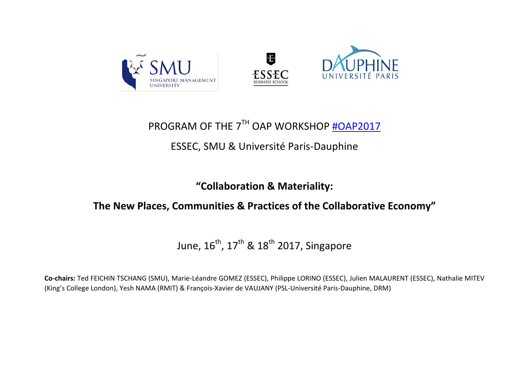

# PROGRAM OF THE 7TH OAP WORKSHOP [#OAP2017](https://twitter.com/WorkshopOAP)

### ESSEC, SMU & Université Paris-Dauphine

**"Collaboration & Materiality:** 

### **The New Places, Communities & Practices of the Collaborative Economy"**

June,  $16^{th}$ ,  $17^{th}$  &  $18^{th}$  2017, Singapore

**Co-chairs:** Ted FEICHIN TSCHANG (SMU), Marie-Léandre GOMEZ (ESSEC), Philippe LORINO (ESSEC), Julien MALAURENT (ESSEC), Nathalie MITEV (King's College London), Yesh NAMA (RMIT) & François-Xavier de VAUJANY (PSL-Université Paris-Dauphine, DRM)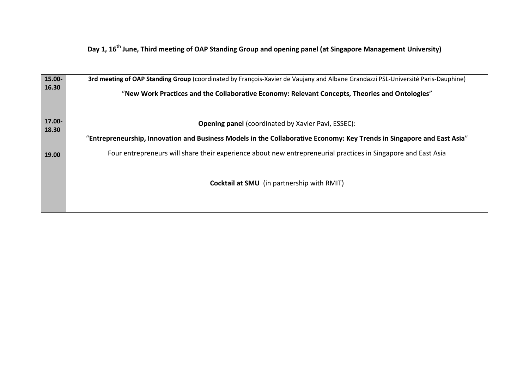**Day 1, 16th June, Third meeting of OAP Standing Group and opening panel (at Singapore Management University)**

| 15.00-          | 3rd meeting of OAP Standing Group (coordinated by François-Xavier de Vaujany and Albane Grandazzi PSL-Université Paris-Dauphine) |  |  |  |  |  |
|-----------------|----------------------------------------------------------------------------------------------------------------------------------|--|--|--|--|--|
| 16.30           | "New Work Practices and the Collaborative Economy: Relevant Concepts, Theories and Ontologies"                                   |  |  |  |  |  |
| 17.00-<br>18.30 | <b>Opening panel</b> (coordinated by Xavier Pavi, ESSEC):                                                                        |  |  |  |  |  |
|                 | "Entrepreneurship, Innovation and Business Models in the Collaborative Economy: Key Trends in Singapore and East Asia"           |  |  |  |  |  |
| 19.00           | Four entrepreneurs will share their experience about new entrepreneurial practices in Singapore and East Asia                    |  |  |  |  |  |
|                 | <b>Cocktail at SMU</b> (in partnership with RMIT)                                                                                |  |  |  |  |  |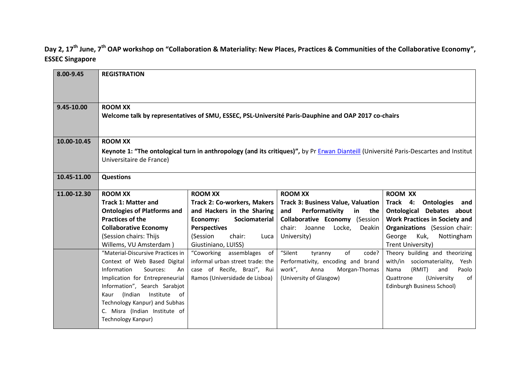#### **Day 2, 17th June, 7th OAP workshop on "Collaboration & Materiality: New Places, Practices & Communities of the Collaborative Economy", ESSEC Singapore**

| 8.00-9.45   | <b>REGISTRATION</b>                                                                                                                                               |                                                     |                                           |                                                   |  |
|-------------|-------------------------------------------------------------------------------------------------------------------------------------------------------------------|-----------------------------------------------------|-------------------------------------------|---------------------------------------------------|--|
|             |                                                                                                                                                                   |                                                     |                                           |                                                   |  |
| 9.45-10.00  | <b>ROOM XX</b><br>Welcome talk by representatives of SMU, ESSEC, PSL-Université Paris-Dauphine and OAP 2017 co-chairs                                             |                                                     |                                           |                                                   |  |
| 10.00-10.45 | <b>ROOM XX</b>                                                                                                                                                    |                                                     |                                           |                                                   |  |
|             | Keynote 1: "The ontological turn in anthropology (and its critiques)", by Pr Erwan Dianteill (Université Paris-Descartes and Institut<br>Universitaire de France) |                                                     |                                           |                                                   |  |
| 10.45-11.00 | <b>Questions</b>                                                                                                                                                  |                                                     |                                           |                                                   |  |
| 11.00-12.30 | <b>ROOM XX</b>                                                                                                                                                    | <b>ROOM XX</b>                                      | <b>ROOM XX</b>                            | <b>ROOM XX</b>                                    |  |
|             | <b>Track 1: Matter and</b>                                                                                                                                        | <b>Track 2: Co-workers, Makers</b>                  | <b>Track 3: Business Value, Valuation</b> | Track 4:<br><b>Ontologies</b><br>and              |  |
|             | <b>Ontologies of Platforms and</b>                                                                                                                                | and Hackers in the Sharing                          | Performativity<br>and<br>in the           | <b>Ontological Debates about</b>                  |  |
|             | <b>Practices of the</b>                                                                                                                                           | Economy:<br>Sociomaterial                           | <b>Collaborative Economy (Session</b>     | <b>Work Practices in Society and</b>              |  |
|             | <b>Collaborative Economy</b>                                                                                                                                      | <b>Perspectives</b>                                 | chair:<br>Joanne<br>Locke,<br>Deakin      | <b>Organizations</b> (Session chair:              |  |
|             | (Session chairs: Thijs<br>Willems, VU Amsterdam)                                                                                                                  | (Session<br>chair:<br>Luca                          | University)                               | George<br>Kuk,<br>Nottingham<br>Trent University) |  |
|             | "Material-Discursive Practices in                                                                                                                                 | Giustiniano, LUISS)<br>assemblages of<br>"Coworking | "Silent<br>of<br>code?<br>tyranny         | Theory building and theorizing                    |  |
|             | Context of Web Based Digital                                                                                                                                      | informal urban street trade: the                    | Performativity, encoding and brand        | with/in sociomateriality,<br>Yesh                 |  |
|             | Information<br>Sources:<br>An                                                                                                                                     | case of Recife, Brazi", Rui                         | work",<br>Anna<br>Morgan-Thomas           | (RMIT)<br>Paolo<br>Nama<br>and                    |  |
|             | Implication for Entrepreneurial                                                                                                                                   | Ramos (Universidade de Lisboa)                      | (University of Glasgow)                   | (University<br>Quattrone<br>of                    |  |
|             | Information", Search Sarabjot                                                                                                                                     |                                                     |                                           | Edinburgh Business School)                        |  |
|             | (Indian Institute<br>of<br>Kaur                                                                                                                                   |                                                     |                                           |                                                   |  |
|             | Technology Kanpur) and Subhas                                                                                                                                     |                                                     |                                           |                                                   |  |
|             | C. Misra (Indian Institute of                                                                                                                                     |                                                     |                                           |                                                   |  |
|             | Technology Kanpur)                                                                                                                                                |                                                     |                                           |                                                   |  |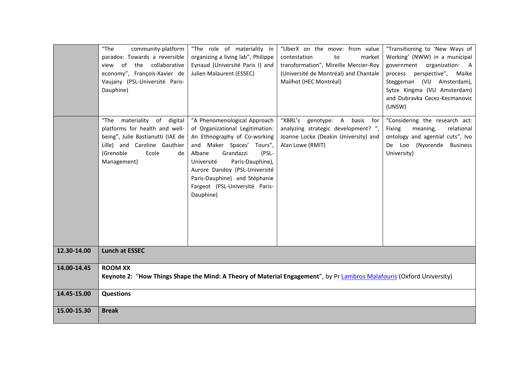|             | $"$ The<br>community-platform<br>paradox: Towards a reversible<br>view of the collaborative<br>economy", François-Xavier de<br>Vaujany (PSL-Université Paris-<br>Dauphine)          | "The role of materiality in<br>organizing a living lab", Philippe<br>Eynaud (Université Paris I) and<br>Julien Malaurent (ESSEC)                                                                                                                                                                                | "UberX on the move: from value<br>market<br>contestation<br>to<br>transformation", Mireille Mercier-Roy<br>(Université de Montréal) and Chantale<br>Mailhot (HEC Montréal) | "Transitioning to 'New Ways of<br>Working' (NWW) in a municipal<br>government organization: A<br>perspective", Maike<br>process<br>Steggeman (VU Amsterdam),<br>Sytze Kingma (VU Amsterdam)<br>and Dubravka Cecez-Kecmanovic<br>(UNSW) |
|-------------|-------------------------------------------------------------------------------------------------------------------------------------------------------------------------------------|-----------------------------------------------------------------------------------------------------------------------------------------------------------------------------------------------------------------------------------------------------------------------------------------------------------------|----------------------------------------------------------------------------------------------------------------------------------------------------------------------------|----------------------------------------------------------------------------------------------------------------------------------------------------------------------------------------------------------------------------------------|
|             | $"$ The<br>materiality of digital<br>platforms for health and well-<br>being", Julie Bastianutti (IAE de<br>Lille) and Caroline Gauthier<br>(Grenoble<br>Ecole<br>de<br>Management) | "A Phenomenological Approach<br>of Organizational Legitimation:<br>An Ethnography of Co-working<br>and Maker Spaces' Tours",<br>Grandazzi<br>Albane<br>(PSL-<br>Université<br>Paris-Dauphine),<br>Aurore Dandoy (PSL-Université<br>Paris-Dauphine) and Stéphanie<br>Fargeot (PSL-Université Paris-<br>Dauphine) | "XBRL's genotype: A basis for<br>analyzing strategic development? ",<br>Joanne Locke (Deakin University) and<br>Alan Lowe (RMIT)                                           | "Considering the research act:<br>Fixing<br>meaning,<br>relational<br>ontology and agential cuts", Ivo<br>De Loo (Nyorende Business<br>University)                                                                                     |
| 12.30-14.00 | <b>Lunch at ESSEC</b>                                                                                                                                                               |                                                                                                                                                                                                                                                                                                                 |                                                                                                                                                                            |                                                                                                                                                                                                                                        |
| 14.00-14.45 | <b>ROOM XX</b><br>Keynote 2: "How Things Shape the Mind: A Theory of Material Engagement", by Pr Lambros Malafouris (Oxford University)                                             |                                                                                                                                                                                                                                                                                                                 |                                                                                                                                                                            |                                                                                                                                                                                                                                        |
| 14.45-15.00 | <b>Questions</b>                                                                                                                                                                    |                                                                                                                                                                                                                                                                                                                 |                                                                                                                                                                            |                                                                                                                                                                                                                                        |
| 15.00-15.30 | <b>Break</b>                                                                                                                                                                        |                                                                                                                                                                                                                                                                                                                 |                                                                                                                                                                            |                                                                                                                                                                                                                                        |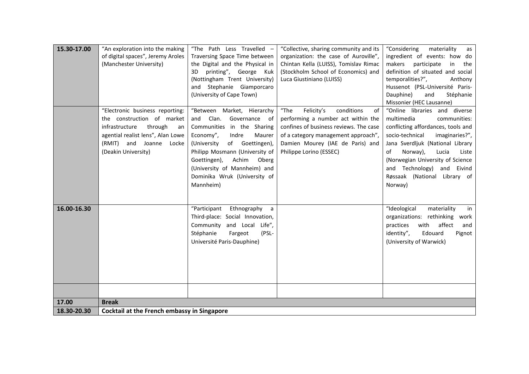| 15.30-17.00 | "An exploration into the making                    | "The Path Less Travelled -      | "Collective, sharing community and its | "Considering<br>materiality<br>as  |
|-------------|----------------------------------------------------|---------------------------------|----------------------------------------|------------------------------------|
|             | of digital spaces", Jeremy Aroles                  | Traversing Space Time between   | organization: the case of Auroville",  | ingredient of events: how do       |
|             | (Manchester University)                            | the Digital and the Physical in | Chintan Kella (LUISS), Tomislav Rimac  | makers participate<br>in<br>the    |
|             |                                                    | printing", George Kuk<br>3D     | (Stockholm School of Economics) and    | definition of situated and social  |
|             |                                                    | (Nottingham Trent University)   | Luca Giustiniano (LUISS)               | temporalities?",<br>Anthony        |
|             |                                                    | and Stephanie Giamporcaro       |                                        | Hussenot (PSL-Université Paris-    |
|             |                                                    | (University of Cape Town)       |                                        | Dauphine)<br>and<br>Stéphanie      |
|             |                                                    |                                 |                                        | Missonier (HEC Lausanne)           |
|             | "Electronic business reporting:                    | "Between Market, Hierarchy      | conditions<br>"The<br>Felicity's<br>of | "Online libraries and diverse      |
|             | the construction of market                         | Clan.<br>Governance of<br>and   | performing a number act within the     | multimedia<br>communities:         |
|             | infrastructure<br>through<br>an                    | Communities in the Sharing      | confines of business reviews. The case | conflicting affordances, tools and |
|             | agential realist lens", Alan Lowe                  | Economy",<br>Indre<br>Maurer    | of a category management approach",    | socio-technical<br>imaginaries?",  |
|             | (RMIT) and Joanne Locke                            | of Goettingen),<br>(University  | Damien Mourey (IAE de Paris) and       | Jana Sverdljuk (National Library   |
|             | (Deakin University)                                | Philipp Mosmann (University of  | Philippe Lorino (ESSEC)                | of<br>Norway),<br>Lucia<br>Liste   |
|             |                                                    | Goettingen),<br>Achim<br>Oberg  |                                        | (Norwegian University of Science   |
|             |                                                    | (University of Mannheim) and    |                                        | Technology) and Eivind<br>and      |
|             |                                                    | Dominika Wruk (University of    |                                        | Røssaak (National Library of       |
|             |                                                    | Mannheim)                       |                                        | Norway)                            |
|             |                                                    |                                 |                                        |                                    |
|             |                                                    |                                 |                                        |                                    |
| 16.00-16.30 |                                                    | "Participant<br>Ethnography a   |                                        | "Ideological<br>materiality<br>in  |
|             |                                                    | Third-place: Social Innovation, |                                        | organizations: rethinking<br>work  |
|             |                                                    | Community and Local Life",      |                                        | affect<br>with<br>practices<br>and |
|             |                                                    | Stéphanie<br>Fargeot<br>(PSL-   |                                        | identity",<br>Edouard<br>Pignot    |
|             |                                                    | Université Paris-Dauphine)      |                                        | (University of Warwick)            |
|             |                                                    |                                 |                                        |                                    |
|             |                                                    |                                 |                                        |                                    |
|             |                                                    |                                 |                                        |                                    |
|             |                                                    |                                 |                                        |                                    |
|             |                                                    |                                 |                                        |                                    |
|             |                                                    |                                 |                                        |                                    |
| 17.00       | <b>Break</b>                                       |                                 |                                        |                                    |
| 18.30-20.30 | <b>Cocktail at the French embassy in Singapore</b> |                                 |                                        |                                    |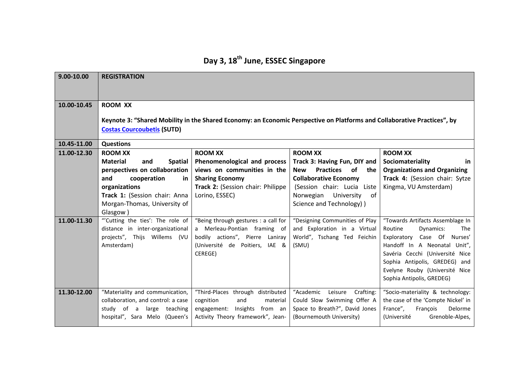# **Day 3, 18th June, ESSEC Singapore**

| 9.00-10.00  | <b>REGISTRATION</b>                                                                                                                                                             |                                                             |                                                             |                                                                 |  |
|-------------|---------------------------------------------------------------------------------------------------------------------------------------------------------------------------------|-------------------------------------------------------------|-------------------------------------------------------------|-----------------------------------------------------------------|--|
| 10.00-10.45 | <b>ROOM XX</b><br>Keynote 3: "Shared Mobility in the Shared Economy: an Economic Perspective on Platforms and Collaborative Practices", by<br><b>Costas Courcoubetis (SUTD)</b> |                                                             |                                                             |                                                                 |  |
| 10.45-11.00 | <b>Questions</b>                                                                                                                                                                |                                                             |                                                             |                                                                 |  |
| 11.00-12.30 | <b>ROOM XX</b>                                                                                                                                                                  | <b>ROOM XX</b>                                              | <b>ROOM XX</b>                                              | <b>ROOM XX</b>                                                  |  |
|             | <b>Material</b><br>and<br><b>Spatial</b>                                                                                                                                        | Phenomenological and process                                | Track 3: Having Fun, DIY and                                | Sociomateriality<br>in.                                         |  |
|             | perspectives on collaboration                                                                                                                                                   | views on communities in the                                 | of<br><b>Practices</b><br><b>New</b><br>the                 | <b>Organizations and Organizing</b>                             |  |
|             | and<br>cooperation<br>in.<br>organizations                                                                                                                                      | <b>Sharing Economy</b><br>Track 2: (Session chair: Philippe | <b>Collaborative Economy</b><br>(Session chair: Lucia Liste | Track 4: (Session chair: Sytze<br>Kingma, VU Amsterdam)         |  |
|             | Track 1: (Session chair: Anna                                                                                                                                                   | Lorino, ESSEC)                                              | Norwegian University<br><sub>of</sub>                       |                                                                 |  |
|             | Morgan-Thomas, University of                                                                                                                                                    |                                                             | Science and Technology) )                                   |                                                                 |  |
|             | Glasgow)                                                                                                                                                                        |                                                             |                                                             |                                                                 |  |
| 11.00-11.30 | "Cutting the ties': The role of                                                                                                                                                 | "Being through gestures : a call for                        | "Designing Communities of Play                              | "Towards Artifacts Assemblage In                                |  |
|             | distance in inter-organizational                                                                                                                                                | a Merleau-Pontian framing of                                | and Exploration in a Virtual                                | Routine<br>Dynamics:<br><b>The</b>                              |  |
|             | projects", Thijs Willems (VU                                                                                                                                                    | bodily actions", Pierre Laniray                             | World", Tschang Ted Feichin                                 | Exploratory Case Of Nurses'                                     |  |
|             | Amsterdam)                                                                                                                                                                      | (Université de Poitiers, IAE &                              | (SMU)                                                       | Handoff In A Neonatal Unit",<br>Savéria Cecchi (Université Nice |  |
|             |                                                                                                                                                                                 | CEREGE)                                                     |                                                             | Sophia Antipolis, GREDEG) and                                   |  |
|             |                                                                                                                                                                                 |                                                             |                                                             | Evelyne Rouby (Université Nice                                  |  |
|             |                                                                                                                                                                                 |                                                             |                                                             | Sophia Antipolis, GREDEG)                                       |  |
| 11.30-12.00 | "Materiality and communication,                                                                                                                                                 | "Third-Places through distributed                           | "Academic<br>Crafting:<br>Leisure                           | "Socio-materiality & technology:                                |  |
|             | collaboration, and control: a case                                                                                                                                              | cognition<br>and<br>material                                | Could Slow Swimming Offer A                                 | the case of the 'Compte Nickel' in                              |  |
|             | study of a large teaching                                                                                                                                                       | engagement: Insights from an                                | Space to Breath?", David Jones                              | France",<br>François<br>Delorme                                 |  |
|             | hospital", Sara Melo (Queen's                                                                                                                                                   | Activity Theory framework", Jean-                           | (Bournemouth University)                                    | Grenoble-Alpes,<br>(Université                                  |  |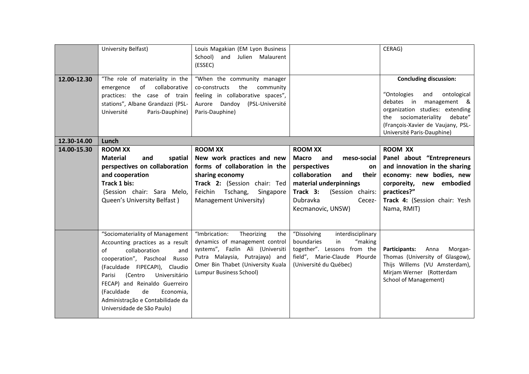|             | University Belfast)                                                                                                                                                                                                                                                                                                                                  | Louis Magakian (EM Lyon Business<br>School) and Julien Malaurent<br>(ESSEC)                                                                                                                                |                                                                                                                                                                                                                         | CERAG)                                                                                                                                                                                                                                       |
|-------------|------------------------------------------------------------------------------------------------------------------------------------------------------------------------------------------------------------------------------------------------------------------------------------------------------------------------------------------------------|------------------------------------------------------------------------------------------------------------------------------------------------------------------------------------------------------------|-------------------------------------------------------------------------------------------------------------------------------------------------------------------------------------------------------------------------|----------------------------------------------------------------------------------------------------------------------------------------------------------------------------------------------------------------------------------------------|
| 12.00-12.30 | "The role of materiality in the<br>of<br>collaborative<br>emergence<br>practices: the case of train<br>stations", Albane Grandazzi (PSL-<br>Université<br>Paris-Dauphine)                                                                                                                                                                            | "When the community manager<br>co-constructs<br>the<br>community<br>feeling in collaborative spaces",<br>Aurore Dandoy (PSL-Université<br>Paris-Dauphine)                                                  |                                                                                                                                                                                                                         | <b>Concluding discussion:</b><br>"Ontologies<br>and<br>ontological<br>debates in<br>management &<br>organization studies: extending<br>sociomateriality<br>debate"<br>the<br>(François-Xavier de Vaujany, PSL-<br>Université Paris-Dauphine) |
| 12.30-14.00 | Lunch                                                                                                                                                                                                                                                                                                                                                |                                                                                                                                                                                                            |                                                                                                                                                                                                                         |                                                                                                                                                                                                                                              |
| 14.00-15.30 | <b>ROOM XX</b><br><b>Material</b><br>spatial<br>and<br>perspectives on collaboration<br>and cooperation<br>Track 1 bis:<br>(Session chair: Sara Melo,<br>Queen's University Belfast)                                                                                                                                                                 | <b>ROOM XX</b><br>New work practices and new<br>forms of collaboration in the<br>sharing economy<br>Track 2: (Session chair: Ted<br>Feichin Tschang,<br>Singapore<br>Management University)                | <b>ROOM XX</b><br><b>Macro</b><br>meso-social<br>and<br>perspectives<br><b>on</b><br>collaboration<br>and<br>their<br>material underpinnings<br>Track 3:<br>(Session chairs:<br>Dubravka<br>Cecez-<br>Kecmanovic, UNSW) | <b>ROOM XX</b><br>Panel about "Entrepreneurs<br>and innovation in the sharing<br>economy: new bodies, new<br>corporeity, new embodied<br>practices?"<br>Track 4: (Session chair: Yesh<br>Nama, RMIT)                                         |
|             | "Sociomateriality of Management<br>Accounting practices as a result<br>$\alpha$ f<br>collaboration<br>and<br>cooperation", Paschoal Russo<br>(Faculdade FIPECAPI), Claudio<br>(Centro<br>Universitário<br>Parisi<br>FECAP) and Reinaldo Guerreiro<br>(Faculdade<br>de<br>Economia,<br>Administração e Contabilidade da<br>Universidade de São Paulo) | "Imbrication:<br>Theorizing<br>the<br>dynamics of management control<br>systems", Fazlin Ali (Universiti<br>Putra Malaysia, Putrajaya) and<br>Omer Bin Thabet (University Kuala<br>Lumpur Business School) | "Dissolving<br>interdisciplinary<br>"making<br>boundaries<br>in<br>together". Lessons from the<br>field", Marie-Claude Plourde<br>(Université du Québec)                                                                | Anna<br>Morgan-<br>Participants:<br>Thomas (University of Glasgow),<br>Thijs Willems (VU Amsterdam),<br>Mirjam Werner (Rotterdam<br><b>School of Management)</b>                                                                             |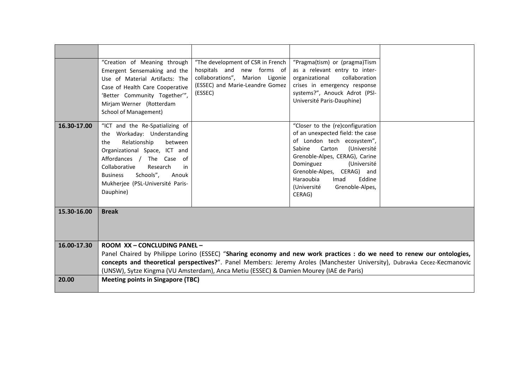|             | "Creation of Meaning through<br>Emergent Sensemaking and the<br>Use of Material Artifacts: The<br>Case of Health Care Cooperative<br>'Better Community Together'",<br>Mirjam Werner (Rotterdam<br><b>School of Management)</b>                                                                                                                                               | "The development of CSR in French<br>hospitals and new forms of<br>collaborations", Marion Ligonie<br>(ESSEC) and Marie-Leandre Gomez<br>(ESSEC) | "Pragma(tism) or (pragma)Tism<br>as a relevant entry to inter-<br>collaboration<br>organizational<br>crises in emergency response<br>systems?", Anouck Adrot (PSI-<br>Université Paris-Dauphine)                                                                                                             |  |
|-------------|------------------------------------------------------------------------------------------------------------------------------------------------------------------------------------------------------------------------------------------------------------------------------------------------------------------------------------------------------------------------------|--------------------------------------------------------------------------------------------------------------------------------------------------|--------------------------------------------------------------------------------------------------------------------------------------------------------------------------------------------------------------------------------------------------------------------------------------------------------------|--|
| 16.30-17.00 | "ICT and the Re-Spatializing of<br>the Workaday: Understanding<br>Relationship<br>between<br>the<br>Organizational Space, ICT and<br>Affordances / The Case of<br>Collaborative<br>Research<br>in<br>Schools",<br><b>Business</b><br>Anouk<br>Mukherjee (PSL-Université Paris-<br>Dauphine)                                                                                  |                                                                                                                                                  | "Closer to the (re)configuration<br>of an unexpected field: the case<br>of London tech ecosystem",<br>Carton<br>(Université<br>Sabine<br>Grenoble-Alpes, CERAG), Carine<br>Dominguez<br>(Université<br>Grenoble-Alpes, CERAG) and<br>Haraoubia<br>Eddine<br>Imad<br>Grenoble-Alpes,<br>(Université<br>CERAG) |  |
| 15.30-16.00 | <b>Break</b>                                                                                                                                                                                                                                                                                                                                                                 |                                                                                                                                                  |                                                                                                                                                                                                                                                                                                              |  |
| 16.00-17.30 | ROOM XX - CONCLUDING PANEL -<br>Panel Chaired by Philippe Lorino (ESSEC) "Sharing economy and new work practices : do we need to renew our ontologies,<br>concepts and theoretical perspectives?". Panel Members: Jeremy Aroles (Manchester University), Dubravka Cecez-Kecmanovic<br>(UNSW), Sytze Kingma (VU Amsterdam), Anca Metiu (ESSEC) & Damien Mourey (IAE de Paris) |                                                                                                                                                  |                                                                                                                                                                                                                                                                                                              |  |
| 20.00       | <b>Meeting points in Singapore (TBC)</b>                                                                                                                                                                                                                                                                                                                                     |                                                                                                                                                  |                                                                                                                                                                                                                                                                                                              |  |